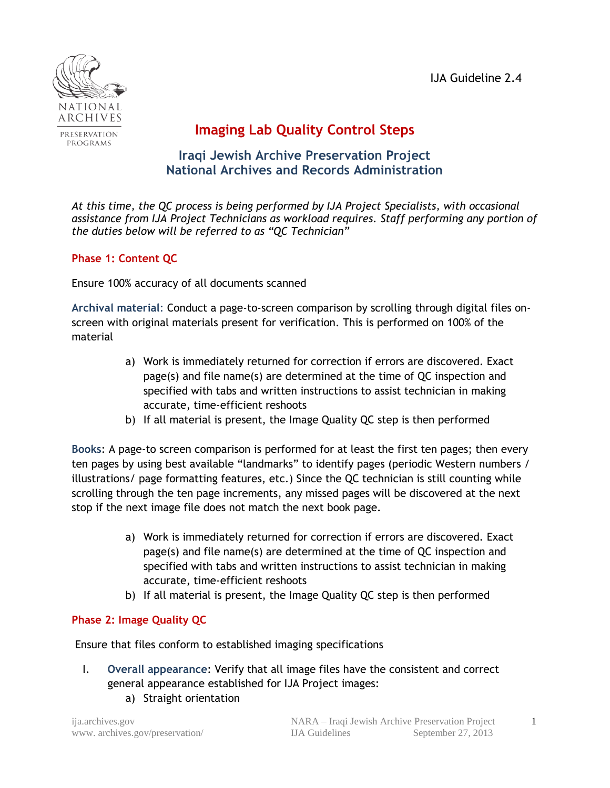IJA Guideline 2.4



## **Imaging Lab Quality Control Steps**

## **Iraqi Jewish Archive Preservation Project National Archives and Records Administration**

*At this time, the QC process is being performed by IJA Project Specialists, with occasional assistance from IJA Project Technicians as workload requires. Staff performing any portion of the duties below will be referred to as "QC Technician"* 

## **Phase 1: Content QC**

Ensure 100% accuracy of all documents scanned

**Archival material**: Conduct a page-to-screen comparison by scrolling through digital files onscreen with original materials present for verification. This is performed on 100% of the material

- a) Work is immediately returned for correction if errors are discovered. Exact page(s) and file name(s) are determined at the time of QC inspection and specified with tabs and written instructions to assist technician in making accurate, time-efficient reshoots
- b) If all material is present, the Image Quality QC step is then performed

**Books**: A page-to screen comparison is performed for at least the first ten pages; then every ten pages by using best available "landmarks" to identify pages (periodic Western numbers / illustrations/ page formatting features, etc.) Since the QC technician is still counting while scrolling through the ten page increments, any missed pages will be discovered at the next stop if the next image file does not match the next book page.

- a) Work is immediately returned for correction if errors are discovered. Exact page(s) and file name(s) are determined at the time of QC inspection and specified with tabs and written instructions to assist technician in making accurate, time-efficient reshoots
- b) If all material is present, the Image Quality QC step is then performed

## **Phase 2: Image Quality QC**

Ensure that files conform to established imaging specifications

- I. **Overall appearance**: Verify that all image files have the consistent and correct general appearance established for IJA Project images:
	- a) Straight orientation